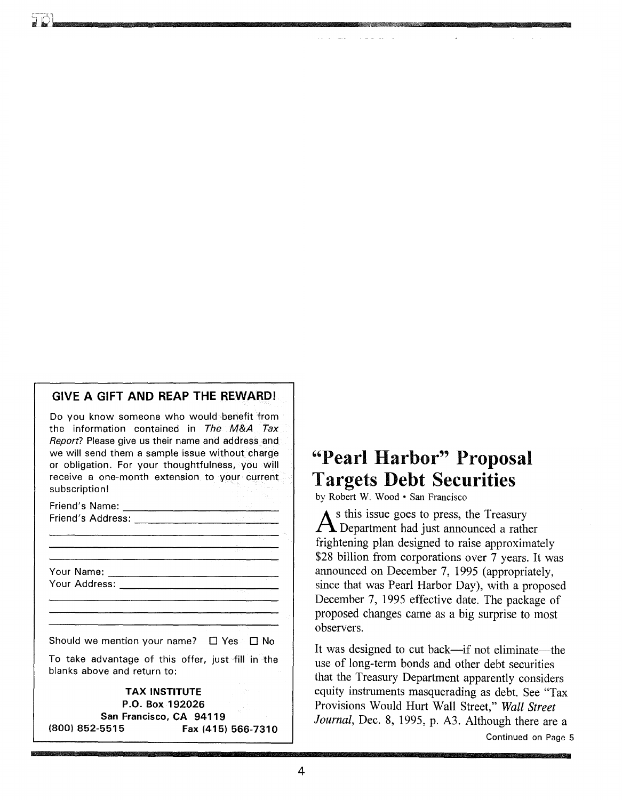# GIVE A GIFT AND REAP THE REWARD!

Do you know someone who would benefit from the information contained in The M&A Tax Report? Please give us their name and address and we will send them a sample issue without charge or obligation. For your thoughtfulness, you will receive a one-month extension to your current subscription!

| Friend's Name:    | . |
|-------------------|---|
| Friend's Address: |   |
|                   |   |

Your Name: Your Address-:-------------

Should we mention your name?  $\Box$  Yes  $\Box$  No

To take advantage of this offer, just fill in the blanks above and return to:

TAX INSTITUTE P.O. Box 192026 San Francisco, CA 94119 (800) 852-5515 Fax (415) 566-7310

# "Pearl Harbor"" Proposal Targets Debt Securities

by Robert W. Wood· San Francisco

As this issue goes to press, the Treasury Department had just announced a rather frightening plan designed to raise approximately \$28 billion from corporations over 7 years. It was announced on December 7, 1995 (appropriately, since that was Pearl Harbor Day), with a proposed December 7, 1995 effective date. The package of proposed changes came as a big surprise to most observers.

It was designed to cut back—if not eliminate—the use of long-term bonds and other debt securities that the Treasury Department apparently considers equity instruments masquerading as debt. See "Tax Provisions Would Hurt Wall Street," *Wall Street Journal,* Dec. 8, 1995, p. A3. Although there are a Continued on Page 5